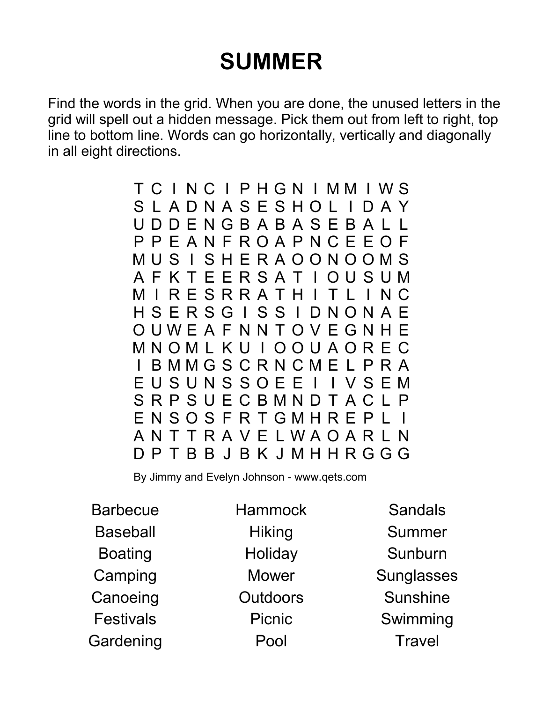## SUMMER

Find the words in the grid. When you are done, the unused letters in the grid will spell out a hidden message. Pick them out from left to right, top line to bottom line. Words can go horizontally, vertically and diagonally in all eight directions.

> T C I N C I P H G N I M M I W S S L A D N A S E S H O L I D A Y U D D E N G B A B A S E B A L L P P E A N F R O A P N C E E O F M U S I S H E R A O O N O O M S A F K T E E R S A T I O U S U M M I R E S R R A T H I T L I N C H S E R S G I S S I D N O N A E O U W E A F N N T O V E G N H E M N O M L K U I O O U A O R E C B M M G S C R N C M E L P R A E U S U N S S O E E I I V S E M S R P S U E C B M N D T A C L P E N S O S F R T G M H R E P L I A N T T R A V E L W A O A R L N D P T B B J B K J M H H R G G G

By Jimmy and Evelyn Johnson - www.qets.com

**Barbecue Baseball** Boating Camping Canoeing Festivals **Gardening**  **Hammock Hiking Holiday** Mower Outdoors Picnic Pool

**Sandals** Summer Sunburn **Sunglasses** Sunshine Swimming **Travel**